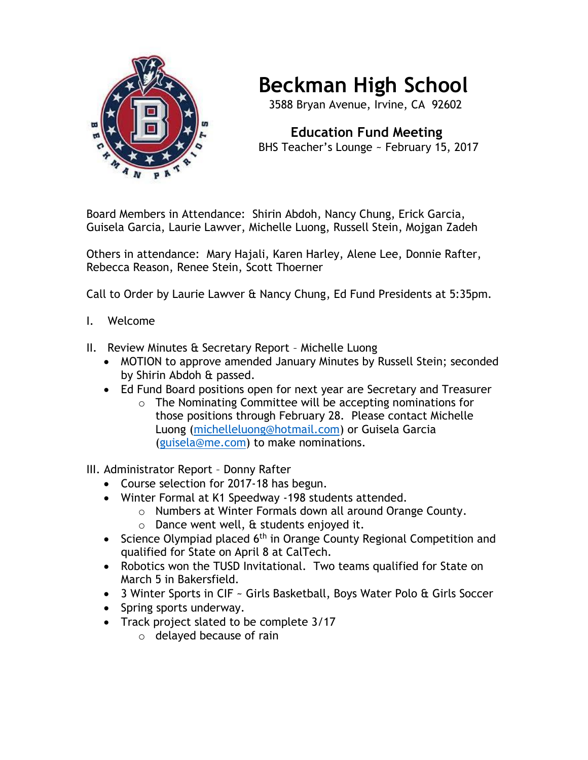

## **Beckman High School**

3588 Bryan Avenue, Irvine, CA 92602

 **Education Fund Meeting** BHS Teacher's Lounge ~ February 15, 2017

Board Members in Attendance: Shirin Abdoh, Nancy Chung, Erick Garcia, Guisela Garcia, Laurie Lawver, Michelle Luong, Russell Stein, Mojgan Zadeh

Others in attendance: Mary Hajali, Karen Harley, Alene Lee, Donnie Rafter, Rebecca Reason, Renee Stein, Scott Thoerner

Call to Order by Laurie Lawver & Nancy Chung, Ed Fund Presidents at 5:35pm.

- I. Welcome
- II. Review Minutes & Secretary Report Michelle Luong
	- MOTION to approve amended January Minutes by Russell Stein; seconded by Shirin Abdoh & passed.
	- Ed Fund Board positions open for next year are Secretary and Treasurer
		- o The Nominating Committee will be accepting nominations for those positions through February 28. Please contact Michelle Luong [\(michelleluong@hotmail.com\)](mailto:michelleluong@hotmail.com) or Guisela Garcia [\(guisela@me.com\)](mailto:guisela@me.com) to make nominations.

III. Administrator Report – Donny Rafter

- Course selection for 2017-18 has begun.
- Winter Formal at K1 Speedway -198 students attended.
	- o Numbers at Winter Formals down all around Orange County.
	- $\circ$  Dance went well, & students enjoyed it.
- Science Olympiad placed  $6<sup>th</sup>$  in Orange County Regional Competition and qualified for State on April 8 at CalTech.
- Robotics won the TUSD Invitational. Two teams qualified for State on March 5 in Bakersfield.
- 3 Winter Sports in CIF ~ Girls Basketball, Boys Water Polo & Girls Soccer
- Spring sports underway.
- Track project slated to be complete 3/17
	- o delayed because of rain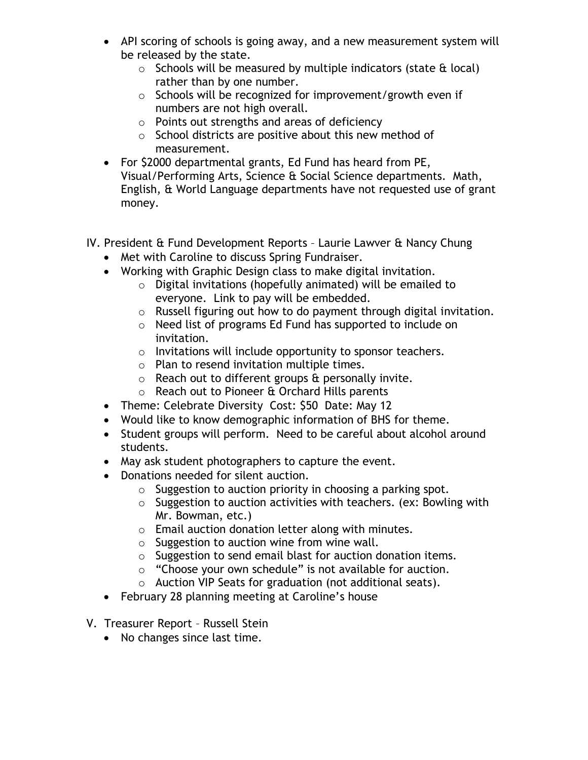- API scoring of schools is going away, and a new measurement system will be released by the state.
	- $\circ$  Schools will be measured by multiple indicators (state  $\theta$  local) rather than by one number.
	- o Schools will be recognized for improvement/growth even if numbers are not high overall.
	- o Points out strengths and areas of deficiency
	- $\circ$  School districts are positive about this new method of measurement.
- For \$2000 departmental grants, Ed Fund has heard from PE, Visual/Performing Arts, Science & Social Science departments. Math, English, & World Language departments have not requested use of grant money.
- IV. President & Fund Development Reports Laurie Lawver & Nancy Chung
	- Met with Caroline to discuss Spring Fundraiser.
	- Working with Graphic Design class to make digital invitation.
		- o Digital invitations (hopefully animated) will be emailed to everyone. Link to pay will be embedded.
		- o Russell figuring out how to do payment through digital invitation.
		- o Need list of programs Ed Fund has supported to include on invitation.
		- $\circ$  Invitations will include opportunity to sponsor teachers.
		- o Plan to resend invitation multiple times.
		- $\circ$  Reach out to different groups & personally invite.
		- o Reach out to Pioneer & Orchard Hills parents
	- Theme: Celebrate Diversity Cost: \$50 Date: May 12
	- Would like to know demographic information of BHS for theme.
	- Student groups will perform. Need to be careful about alcohol around students.
	- May ask student photographers to capture the event.
	- Donations needed for silent auction.
		- $\circ$  Suggestion to auction priority in choosing a parking spot.
		- $\circ$  Suggestion to auction activities with teachers. (ex: Bowling with Mr. Bowman, etc.)
		- o Email auction donation letter along with minutes.
		- $\circ$  Suggestion to auction wine from wine wall.
		- o Suggestion to send email blast for auction donation items.
		- o "Choose your own schedule" is not available for auction.
		- o Auction VIP Seats for graduation (not additional seats).
	- February 28 planning meeting at Caroline's house
- V. Treasurer Report Russell Stein
	- No changes since last time.